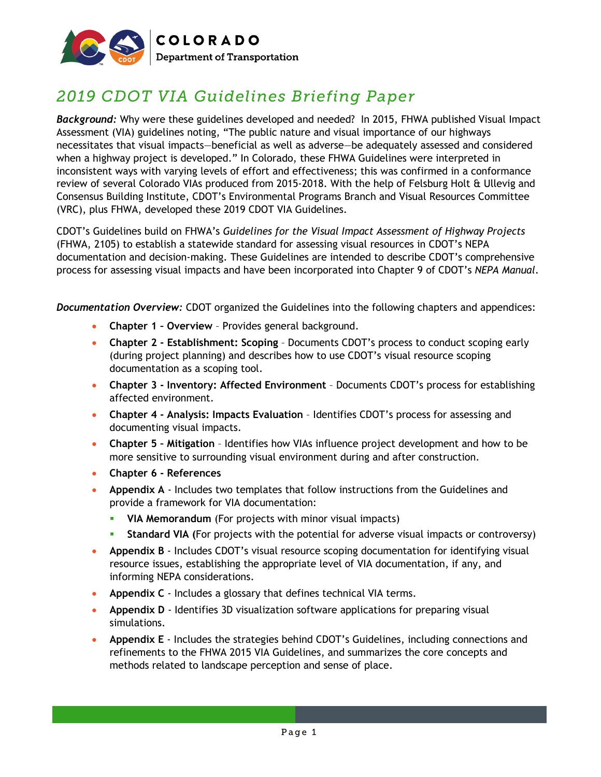

## *2019 CDOT VIA Guidelines Briefing Paper*

*Background:* Why were these guidelines developed and needed? In 2015, FHWA published Visual Impact Assessment (VIA) guidelines noting, "The public nature and visual importance of our highways necessitates that visual impacts—beneficial as well as adverse—be adequately assessed and considered when a highway project is developed." In Colorado, these FHWA Guidelines were interpreted in inconsistent ways with varying levels of effort and effectiveness; this was confirmed in a conformance review of several Colorado VIAs produced from 2015-2018. With the help of Felsburg Holt & Ullevig and Consensus Building Institute, CDOT's Environmental Programs Branch and Visual Resources Committee (VRC), plus FHWA, developed these 2019 CDOT VIA Guidelines.

CDOT's Guidelines build on FHWA's *Guidelines for the Visual Impact Assessment of Highway Projects* (FHWA, 2105) to establish a statewide standard for assessing visual resources in CDOT's NEPA documentation and decision-making. These Guidelines are intended to describe CDOT's comprehensive process for assessing visual impacts and have been incorporated into Chapter 9 of CDOT's *NEPA Manual*.

*Documentation Overview:* CDOT organized the Guidelines into the following chapters and appendices:

- **Chapter 1 – Overview** Provides general background.
- **Chapter 2 - Establishment: Scoping** Documents CDOT's process to conduct scoping early (during project planning) and describes how to use CDOT's visual resource scoping documentation as a scoping tool.
- **Chapter 3 - Inventory: Affected Environment** Documents CDOT's process for establishing affected environment.
- **Chapter 4 - Analysis: Impacts Evaluation** Identifies CDOT's process for assessing and documenting visual impacts.
- **Chapter 5 – Mitigation** Identifies how VIAs influence project development and how to be more sensitive to surrounding visual environment during and after construction.
- **Chapter 6 - References**
- **Appendix A** Includes two templates that follow instructions from the Guidelines and provide a framework for VIA documentation:
	- **VIA Memorandum** (For projects with minor visual impacts)
	- **Standard VIA (**For projects with the potential for adverse visual impacts or controversy)
- **Appendix B** Includes CDOT's visual resource scoping documentation for identifying visual resource issues, establishing the appropriate level of VIA documentation, if any, and informing NEPA considerations.
- **Appendix C** Includes a glossary that defines technical VIA terms.
- **Appendix D** Identifies 3D visualization software applications for preparing visual simulations.
- **Appendix E** Includes the strategies behind CDOT's Guidelines, including connections and refinements to the FHWA 2015 VIA Guidelines, and summarizes the core concepts and methods related to landscape perception and sense of place.